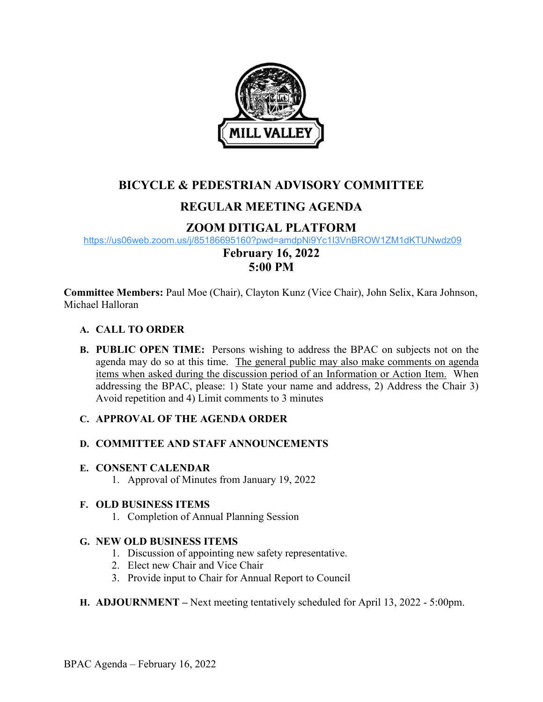

## **BICYCLE & PEDESTRIAN ADVISORY COMMITTEE**

# **REGULAR MEETING AGENDA**

## **ZOOM DITIGAL PLATFORM**

<https://us06web.zoom.us/j/85186695160?pwd=amdpNi9Yc1I3VnBROW1ZM1dKTUNwdz09>

## **February 16, 2022 5:00 PM**

**Committee Members:** Paul Moe (Chair), Clayton Kunz (Vice Chair), John Selix, Kara Johnson, Michael Halloran

### **A. CALL TO ORDER**

**B. PUBLIC OPEN TIME:** Persons wishing to address the BPAC on subjects not on the agenda may do so at this time. The general public may also make comments on agenda items when asked during the discussion period of an Information or Action Item. When addressing the BPAC, please: 1) State your name and address, 2) Address the Chair 3) Avoid repetition and 4) Limit comments to 3 minutes

### **C. APPROVAL OF THE AGENDA ORDER**

### **D. COMMITTEE AND STAFF ANNOUNCEMENTS**

#### **E. CONSENT CALENDAR**

1. Approval of Minutes from January 19, 2022

### **F. OLD BUSINESS ITEMS**

1. Completion of Annual Planning Session

### **G. NEW OLD BUSINESS ITEMS**

- 1. Discussion of appointing new safety representative.
- 2. Elect new Chair and Vice Chair
- 3. Provide input to Chair for Annual Report to Council

### **H. ADJOURNMENT –** Next meeting tentatively scheduled for April 13, 2022 - 5:00pm.